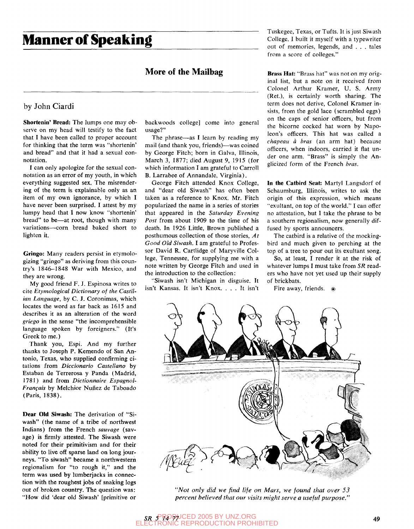# **Manner of Speaking**

### **More of the Mailbag**

#### by John Ciardi

**Shortenin' Bread:** The lumps one may observe on my head will testify to the fact that I have been called to proper account for thinking that the term was "shortenin' and bread" and that it had a sexual connotation.

I can only apologize for the sexual connotation as an error of my youth, in which everything suggested sex. The misrendering of the term is explainable only as an item of my own ignorance, by which I have never been surprised. I attest by my lumpy head that I now know "shortenin' bread" to be—at root, though with many variations—corn bread baked short to lighten it.

**Gringo:** Many readers persist in etymologizing "gringo" as deriving from this country's 1846-1848 War with Mexico, and they are wrong.

My good friend F. J. Espinosa writes to cite *Etymological Dictionary of the Castilian Language,* by C. J. Coronimas, which locates the word as far back as 1615 and describes it as an alteration of the word *griego* in the sense "the incomprehensible language spoken by foreigners." (It's Greek to me.)

Thank you, Espi. And my further thanks to Joseph P. Kemendo of San Antonio, Texas, who supplied confirming citations from *Diccionario Castellano* by Estaban de Terrerosa y Panda (Madrid, 1781) and from *Dictionnaire Espagnol-Frangais* by Melchior Nunez de Taboado (Paris, 1838).

**Dear Old Siwash:** The derivation of "Siwash" (the name of a tribe of northwest Indians) from the French *sauvage* (savage) is firmly attested. The Siwash were noted for their primitivism and for their ability to live off sparse land on long journeys. "To siwash" became a northwestern regionalism for "to rough it," and the term was used by lumberjacks in connection with the roughest jobs of snaking logs out of broken country. The question was: "How did 'dear old Siwash' [primitive or backwoods college] come into general usage?"

The phrase—as I learn by reading my mail (and thank you, friends)—was coined by George Fitch; born in Galva, Illinois, March 3, 1877; died August 9, 1915 (for which information I am grateful to Carroll B. Larrabee of Annandale, Virginia).

George Fitch attended Knox College, and "dear old Siwash" has often been taken as a reference to Knox. Mr. Fitch popularized the name in a series of stories that appeared in the *Saturday Evening Post* from about 1909 to the time of his death. In 1926 Little, Brown published a posthumous collection of those stories. *At Good Old Siwash.* I am grateful to Professor David R. Cartlidge of Maryville College, Tennessee, for supplying me with a note written by George Fitch and used in the introduction to the collection:

"Siwash isn't Michigan in disguise. It isn't Kansas. It isn't Knox. .. . It isn't Tuskegee, Texas, or Tufts. It is just Siwash College. I built it myself with a typewriter out of memories, legends, and . . . tales from a score of colleges."

**Brass Hat:** "Brass hat" was not on my original list, but a note on it received from Colonel Arthur Kramer, U. S. Army (Ret.), is certainly worth sharing. The term does not derive. Colonel Kramer insists, from the gold lace (scrambled eggs) on the caps of senior officers, but from the bicorne cocked hat worn by Napoleon's officers. This hat was called a *chapeau a bras* (an arm hat) because officers, when indoors, carried it flat under one arm. "Brass" is simply the Anglicized form of the French *bras.* 

In **the Catbird Seat:** Martyl Langsdorf of Schaumburg, Illinois, writes to ask the origin of this expression, which means "exultant, on top of the world." I can offer no attestation, but I take the phrase to be a southern regionalism, now generally diffused by sports announcers.

The catbird is a relative of the mockingbird and much given to perching at the top of a tree to pour out its exultant song.

So, at least, I render it at the risk of whatever lumps I must take from *SR* readers who have not yet used up their supply of brickbats.

Fire away, friends.  $\circ$ 



*"Not only did we find life on Mars, we found that over 53 percent believed that our visits might serve a useful purpose."*